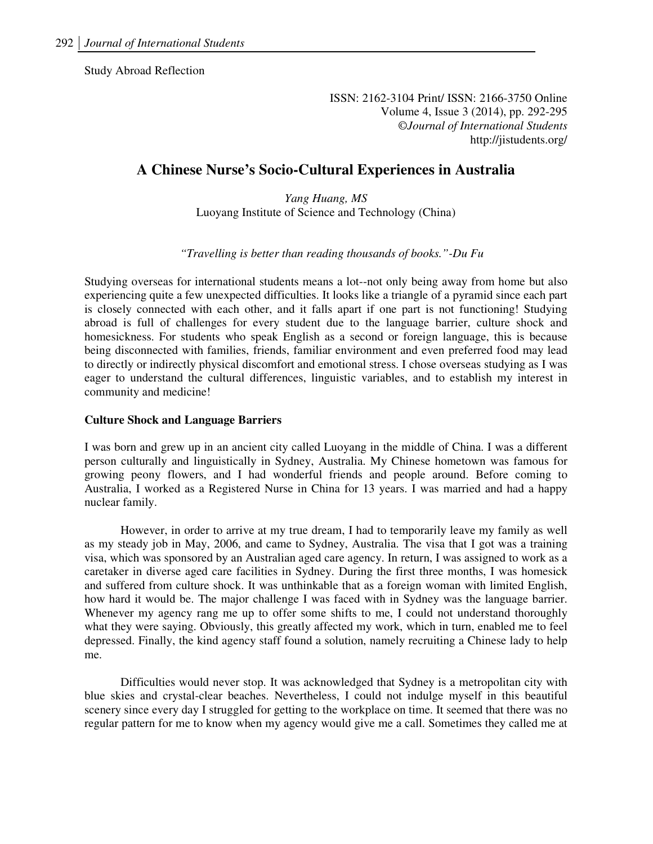Study Abroad Reflection

ISSN: 2162-3104 Print/ ISSN: 2166-3750 Online Volume 4, Issue 3 (2014), pp. 292-295 ©*Journal of International Students* http://jistudents.org/

# **A Chinese Nurse's Socio-Cultural Experiences in Australia**

*Yang Huang, MS*  Luoyang Institute of Science and Technology (China)

#### *"Travelling is better than reading thousands of books."-Du Fu*

Studying overseas for international students means a lot--not only being away from home but also experiencing quite a few unexpected difficulties. It looks like a triangle of a pyramid since each part is closely connected with each other, and it falls apart if one part is not functioning! Studying abroad is full of challenges for every student due to the language barrier, culture shock and homesickness. For students who speak English as a second or foreign language, this is because being disconnected with families, friends, familiar environment and even preferred food may lead to directly or indirectly physical discomfort and emotional stress. I chose overseas studying as I was eager to understand the cultural differences, linguistic variables, and to establish my interest in community and medicine!

### **Culture Shock and Language Barriers**

I was born and grew up in an ancient city called Luoyang in the middle of China. I was a different person culturally and linguistically in Sydney, Australia. My Chinese hometown was famous for growing peony flowers, and I had wonderful friends and people around. Before coming to Australia, I worked as a Registered Nurse in China for 13 years. I was married and had a happy nuclear family.

However, in order to arrive at my true dream, I had to temporarily leave my family as well as my steady job in May, 2006, and came to Sydney, Australia. The visa that I got was a training visa, which was sponsored by an Australian aged care agency. In return, I was assigned to work as a caretaker in diverse aged care facilities in Sydney. During the first three months, I was homesick and suffered from culture shock. It was unthinkable that as a foreign woman with limited English, how hard it would be. The major challenge I was faced with in Sydney was the language barrier. Whenever my agency rang me up to offer some shifts to me, I could not understand thoroughly what they were saying. Obviously, this greatly affected my work, which in turn, enabled me to feel depressed. Finally, the kind agency staff found a solution, namely recruiting a Chinese lady to help me.

Difficulties would never stop. It was acknowledged that Sydney is a metropolitan city with blue skies and crystal-clear beaches. Nevertheless, I could not indulge myself in this beautiful scenery since every day I struggled for getting to the workplace on time. It seemed that there was no regular pattern for me to know when my agency would give me a call. Sometimes they called me at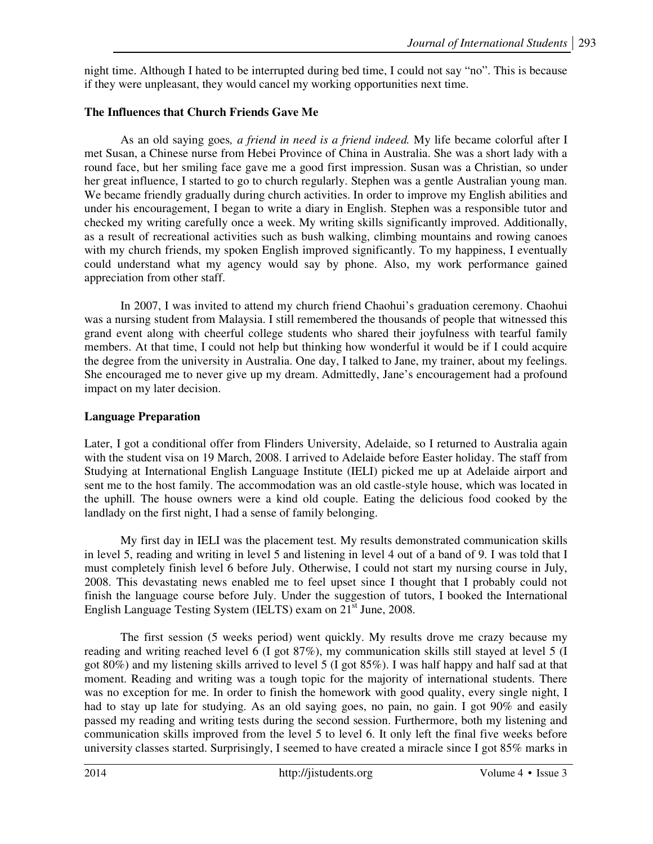night time. Although I hated to be interrupted during bed time, I could not say "no". This is because if they were unpleasant, they would cancel my working opportunities next time.

## **The Influences that Church Friends Gave Me**

As an old saying goes*, a friend in need is a friend indeed.* My life became colorful after I met Susan, a Chinese nurse from Hebei Province of China in Australia. She was a short lady with a round face, but her smiling face gave me a good first impression. Susan was a Christian, so under her great influence, I started to go to church regularly. Stephen was a gentle Australian young man. We became friendly gradually during church activities. In order to improve my English abilities and under his encouragement, I began to write a diary in English. Stephen was a responsible tutor and checked my writing carefully once a week. My writing skills significantly improved. Additionally, as a result of recreational activities such as bush walking, climbing mountains and rowing canoes with my church friends, my spoken English improved significantly. To my happiness, I eventually could understand what my agency would say by phone. Also, my work performance gained appreciation from other staff.

In 2007, I was invited to attend my church friend Chaohui's graduation ceremony. Chaohui was a nursing student from Malaysia. I still remembered the thousands of people that witnessed this grand event along with cheerful college students who shared their joyfulness with tearful family members. At that time, I could not help but thinking how wonderful it would be if I could acquire the degree from the university in Australia. One day, I talked to Jane, my trainer, about my feelings. She encouraged me to never give up my dream. Admittedly, Jane's encouragement had a profound impact on my later decision.

# **Language Preparation**

Later, I got a conditional offer from Flinders University, Adelaide, so I returned to Australia again with the student visa on 19 March, 2008. I arrived to Adelaide before Easter holiday. The staff from Studying at International English Language Institute (IELI) picked me up at Adelaide airport and sent me to the host family. The accommodation was an old castle-style house, which was located in the uphill. The house owners were a kind old couple. Eating the delicious food cooked by the landlady on the first night, I had a sense of family belonging.

My first day in IELI was the placement test. My results demonstrated communication skills in level 5, reading and writing in level 5 and listening in level 4 out of a band of 9. I was told that I must completely finish level 6 before July. Otherwise, I could not start my nursing course in July, 2008. This devastating news enabled me to feel upset since I thought that I probably could not finish the language course before July. Under the suggestion of tutors, I booked the International English Language Testing System (IELTS) exam on 21<sup>st</sup> June, 2008.

The first session (5 weeks period) went quickly. My results drove me crazy because my reading and writing reached level 6 (I got 87%), my communication skills still stayed at level 5 (I got 80%) and my listening skills arrived to level 5 (I got 85%). I was half happy and half sad at that moment. Reading and writing was a tough topic for the majority of international students. There was no exception for me. In order to finish the homework with good quality, every single night, I had to stay up late for studying. As an old saying goes, no pain, no gain. I got 90% and easily passed my reading and writing tests during the second session. Furthermore, both my listening and communication skills improved from the level 5 to level 6. It only left the final five weeks before university classes started. Surprisingly, I seemed to have created a miracle since I got 85% marks in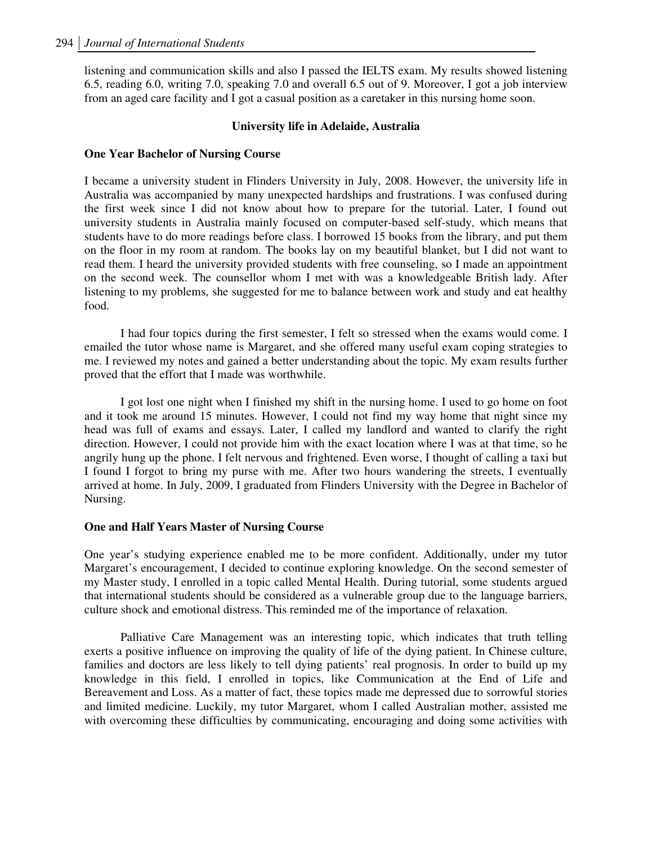listening and communication skills and also I passed the IELTS exam. My results showed listening 6.5, reading 6.0, writing 7.0, speaking 7.0 and overall 6.5 out of 9. Moreover, I got a job interview from an aged care facility and I got a casual position as a caretaker in this nursing home soon.

## **University life in Adelaide, Australia**

## **One Year Bachelor of Nursing Course**

I became a university student in Flinders University in July, 2008. However, the university life in Australia was accompanied by many unexpected hardships and frustrations. I was confused during the first week since I did not know about how to prepare for the tutorial. Later, I found out university students in Australia mainly focused on computer-based self-study, which means that students have to do more readings before class. I borrowed 15 books from the library, and put them on the floor in my room at random. The books lay on my beautiful blanket, but I did not want to read them. I heard the university provided students with free counseling, so I made an appointment on the second week. The counsellor whom I met with was a knowledgeable British lady. After listening to my problems, she suggested for me to balance between work and study and eat healthy food.

I had four topics during the first semester, I felt so stressed when the exams would come. I emailed the tutor whose name is Margaret, and she offered many useful exam coping strategies to me. I reviewed my notes and gained a better understanding about the topic. My exam results further proved that the effort that I made was worthwhile.

I got lost one night when I finished my shift in the nursing home. I used to go home on foot and it took me around 15 minutes. However, I could not find my way home that night since my head was full of exams and essays. Later, I called my landlord and wanted to clarify the right direction. However, I could not provide him with the exact location where I was at that time, so he angrily hung up the phone. I felt nervous and frightened. Even worse, I thought of calling a taxi but I found I forgot to bring my purse with me. After two hours wandering the streets, I eventually arrived at home. In July, 2009, I graduated from Flinders University with the Degree in Bachelor of Nursing.

### **One and Half Years Master of Nursing Course**

One year's studying experience enabled me to be more confident. Additionally, under my tutor Margaret's encouragement, I decided to continue exploring knowledge. On the second semester of my Master study, I enrolled in a topic called Mental Health. During tutorial, some students argued that international students should be considered as a vulnerable group due to the language barriers, culture shock and emotional distress. This reminded me of the importance of relaxation.

Palliative Care Management was an interesting topic, which indicates that truth telling exerts a positive influence on improving the quality of life of the dying patient. In Chinese culture, families and doctors are less likely to tell dying patients' real prognosis. In order to build up my knowledge in this field, I enrolled in topics, like Communication at the End of Life and Bereavement and Loss. As a matter of fact, these topics made me depressed due to sorrowful stories and limited medicine. Luckily, my tutor Margaret, whom I called Australian mother, assisted me with overcoming these difficulties by communicating, encouraging and doing some activities with